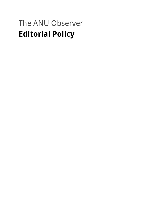# The ANU Observer **Editorial Policy**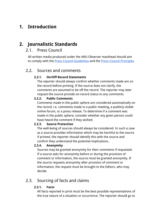# **1. Introduction**

# **2. Journalistic Standards**

### 2.1. Press Council

All written media produced under the ANU Observer masthead should aim to comply with the [Press Council Guidelines](http://www.presscouncil.org.au/advisory-guidelines/) and the [Press Council Principles](http://www.presscouncil.org.au/statements-of-principles/)

### 2.2. Sources and comments

### **2.2.1. On/Off Record Statements**

The reporter should always confirm whether comments made are on the record before printing. If the source does not clarify, the comments are assumed to be off the record. The reporter may later request the source provide on-record status to any comments.

#### **2.2.2. Public Comments**

Comments made in the public sphere are considered automatically on the record, i.e. comments made in a public meeting, a publicly visible online forum, or a press release. To determine if a comment was made in the public sphere, consider whether any given person could have heard the comment if they wished.

#### **2.2.3. Source Protection**

The well-being of sources should always be considered. In such a case as a source provides information which may be harmful to the source if printed, the reporter should identify this with the source and confirm they understand the potential implications.

### **2.2.4. Anonymity**

Sources may be granted anonymity for their comments if requested. If a source asks for anonymity before or during the provision of comment or information, the source must be granted anonymity. If the source requests anonymity after provision of comment or information, the request must be brought to the Editors, who may decide.

# 2.3. Sourcing of facts and claims

### **2.3.1. Facts**

All facts reported in print must be the best possible representations of the true nature of a situation or occurrence. The reporter should go to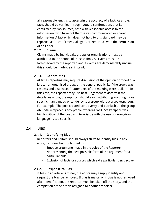all reasonable lengths to ascertain the accuracy of a fact. As a rule, facts should be verified through double-confirmation, that is, confirmed by two sources, both with reasonable access to the information, who have not themselves communicated or shared information. A fact which does not hold to this standard may be reported as 'unconfirmed', 'alleged', or 'reported', with the permission of an Editor.

#### **2.3.2. Claims**

Claims made by individuals, groups or organisations must be attributed to the source of those claims. All claims must be fact-checked by the reporter, and if claims are demonstrably untrue, this should be made clear in print.

#### **2.3.3. Generalities**

At times reporting may require discussion of the opinion or mood of a large, non-organised group, or the general public; i.e. "the crowd was restless and displeased", "attendees of the meeting were jubilant". In this case, the reporter may use best judgement to ascertain the details. As a rule, the reporter should avoid attributing anything more specific than a mood or tendency to a group without a spokesperson. For example "The post created controversy and backlash on the group ANU Stalkerspace" is acceptable, whereas "ANU Stalkerspace was highly critical of the post, and took issue with the use of derogatory language" is too specific.

### 2.4. Bias

#### **2.4.1. Identifying Bias**

Reporters and Editors should always strive to identify bias in any work, including but not limited to:

- Emotive arguments made in the voice of the Reporter
- Not presenting the best possible form of the argument for a particular side
- Exclusion of facts or sources which aid a particular perspective

#### **2.4.2. Response to Bias**

If bias in an article is minor, the editor may simply identify and request the bias be removed. If bias is major, or if bias is not removed after identification, the reporter must be taken off the story, and the completion of the article assigned to another reporter.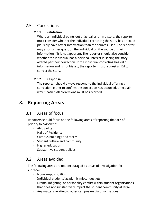# 2.5. Corrections

### **2.5.1. Validation**

Where an individual points out a factual error in a story, the reporter must consider whether the individual correcting the story has or could plausibly have better information than the sources used. The reporter may also further question the individual on the source of their information if it is not apparent. The reporter should also consider whether the individual has a personal interest in seeing the story altered per their correction. If the individual correcting has valid information and is not biased, the reporter must request an Editor correct the story.

### **2.5.2. Response**

The reporter should always respond to the individual offering a correction, either to confirm the correction has occurred, or explain why it hasn't. All corrections must be recorded.

# **3. Reporting Areas**

# 3.1. Areas of focus

Reporters should focus on the following areas of reporting that are of priority to Observer:

- ANU policy
- Halls of Residence
- Campus buildings and stores
- Student culture and community
- Higher education
- Substantive student politics

# 3.2. Areas avoided

The following areas are not encouraged as areas of investigation for Observer:

- Non-campus politics
- Individual students' academic misconduct etc.
- Drama, infighting, or personality conflict within student organisations that does not substantively impact the student community at large
- Any matters relating to other campus media organisations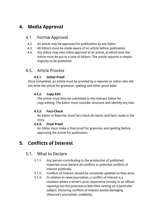# **4. Media Approval**

### 4.1. Formal Approval

- 4.2. An article may be approved for publication by any Editor
- 4.3. All Editors must be made aware of an article before publication
- 4.4. Any Editor may veto initial approval of an article, at which time the article must be put to a vote of Editors. The article requires a simple majority to be published.

# 4.5. Article Process

### **4.5.1. Initial Proof**

Once completed, an article must be proofed by a reporter or editor who did not write the article for grammar, spelling and other proof edits

### **4.5.2. Copy Edit**

The article must then be submitted to the relevant Editor for copy-editing. The Editor must consider structure and identify any bias.

### **4.5.3. Fact-Check**

An Editor or Reporter must fact-check all claims and facts made in the story.

### **4.5.4. Final Proof**

An Editor must make a final proof for grammar and spelling before approving the article for publication.

# **5. Conflicts of Interest**

# 5.1. What to Declare

- 5.1.1. Any person contributing to the production of published materials must declare all conflicts or potential conflicts of interest publically.
- 5.1.2. Conflicts of interest should be constantly updated as they arise.
- 5.1.3. In relation to news journalism, a conflict of interest is a situation where a writer's prior experience (mostly in an official capacity) has the potential to bias their writing on a particular subject. Declaring conflicts of interest avoids damaging Observer's journalistic credibility.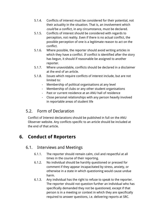- 5.1.4. Conflicts of interest must be considered for their potential, not their actuality in the situation. That is, an involvement which could be a conflict, in any circumstance, must be declared.
- 5.1.5. Conflicts of interest should be considered with regards to perception, not reality. Even if there is no actual conflict, the possible perception of one is a legitimate reason to act on the conflict.
- 5.1.6. Where possible, the reporter should avoid writing articles in which they have a conflict. If conflict is identified after the story has begun, it should if reasonable be assigned to another reporter.
- 5.1.7. Where unavoidable, conflicts should be declared in a disclaimer at the end of an article.
- 5.1.8. Issues which require conflicts of interest include, but are not limited to:
	- Membership of political organisations at any level
	- Membership of clubs or any other student organisations
	- Past or current residence at an ANU hall of residence
	- Close personal relationships with any person heavily involved in reportable areas of student life

# 5.2. Form of Declaration

Conflict of Interest declarations should be published in full on the ANU Observer website. Any conflicts specific to an article should be included at the end of that article.

# **6. Conduct of Reporters**

### 6.1. Interviews and Meetings

- 6.1.1. The reporter should remain calm, civil and respectful at all times in the course of their reporting.
- 6.1.2. No individual should be harshly questioned or pressed for comment if they appear incapacitated by stress, anxiety, or otherwise in a state in which questioning would cause undue harm.
- 6.1.3. Any individual has the right to refuse to speak to the reporter. The reporter should not question further an individual who has specifically demanded they not be questioned, except if that person is in a meeting or context in which they are specifically required to answer questions, i.e. delivering reports at SRC.